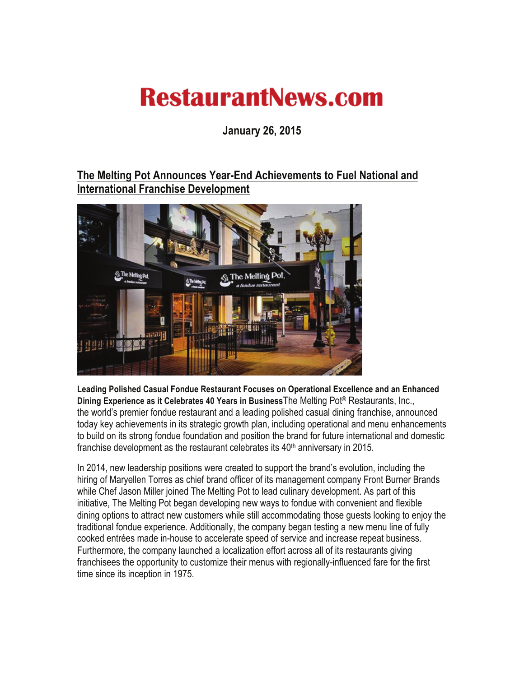## **RestaurantNews.com**

**January 26, 2015** 

## **The Melting Pot Announces Year-End Achievements to Fuel National and International Franchise Development**



**Leading Polished Casual Fondue Restaurant Focuses on Operational Excellence and an Enhanced Dining Experience as it Celebrates 40 Years in Business**The Melting Pot® Restaurants, Inc., the world's premier fondue restaurant and a leading polished casual dining franchise, announced today key achievements in its strategic growth plan, including operational and menu enhancements to build on its strong fondue foundation and position the brand for future international and domestic franchise development as the restaurant celebrates its  $40<sup>th</sup>$  anniversary in 2015.

In 2014, new leadership positions were created to support the brand's evolution, including the hiring of Maryellen Torres as chief brand officer of its management company Front Burner Brands while Chef Jason Miller joined The Melting Pot to lead culinary development. As part of this initiative, The Melting Pot began developing new ways to fondue with convenient and flexible dining options to attract new customers while still accommodating those guests looking to enjoy the traditional fondue experience. Additionally, the company began testing a new menu line of fully cooked entrées made in-house to accelerate speed of service and increase repeat business. Furthermore, the company launched a localization effort across all of its restaurants giving franchisees the opportunity to customize their menus with regionally-influenced fare for the first time since its inception in 1975.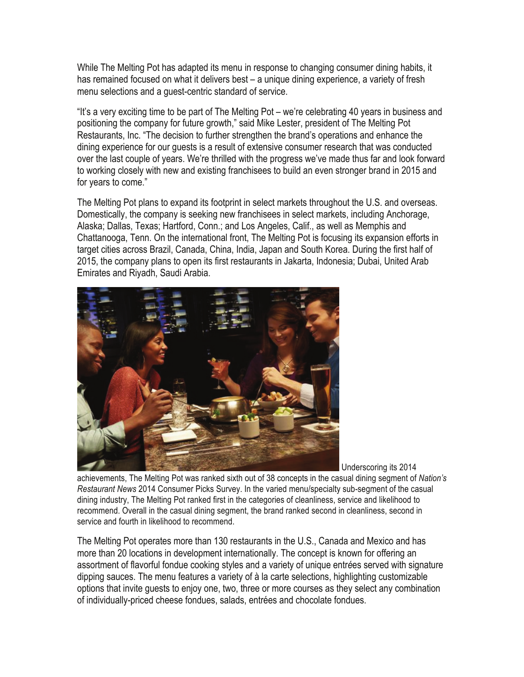While The Melting Pot has adapted its menu in response to changing consumer dining habits, it has remained focused on what it delivers best – a unique dining experience, a variety of fresh menu selections and a guest-centric standard of service.

"It's a very exciting time to be part of The Melting Pot – we're celebrating 40 years in business and positioning the company for future growth," said Mike Lester, president of The Melting Pot Restaurants, Inc. "The decision to further strengthen the brand's operations and enhance the dining experience for our guests is a result of extensive consumer research that was conducted over the last couple of years. We're thrilled with the progress we've made thus far and look forward to working closely with new and existing franchisees to build an even stronger brand in 2015 and for years to come."

The Melting Pot plans to expand its footprint in select markets throughout the U.S. and overseas. Domestically, the company is seeking new franchisees in select markets, including Anchorage, Alaska; Dallas, Texas; Hartford, Conn.; and Los Angeles, Calif., as well as Memphis and Chattanooga, Tenn. On the international front, The Melting Pot is focusing its expansion efforts in target cities across Brazil, Canada, China, India, Japan and South Korea. During the first half of 2015, the company plans to open its first restaurants in Jakarta, Indonesia; Dubai, United Arab Emirates and Riyadh, Saudi Arabia.



Underscoring its 2014

achievements, The Melting Pot was ranked sixth out of 38 concepts in the casual dining segment of *Nation's Restaurant News* 2014 Consumer Picks Survey. In the varied menu/specialty sub-segment of the casual dining industry, The Melting Pot ranked first in the categories of cleanliness, service and likelihood to recommend. Overall in the casual dining segment, the brand ranked second in cleanliness, second in service and fourth in likelihood to recommend.

The Melting Pot operates more than 130 restaurants in the U.S., Canada and Mexico and has more than 20 locations in development internationally. The concept is known for offering an assortment of flavorful fondue cooking styles and a variety of unique entr*é*es served with signature dipping sauces. The menu features a variety of à la carte selections, highlighting customizable options that invite guests to enjoy one, two, three or more courses as they select any combination of individually-priced cheese fondues, salads, entrées and chocolate fondues.